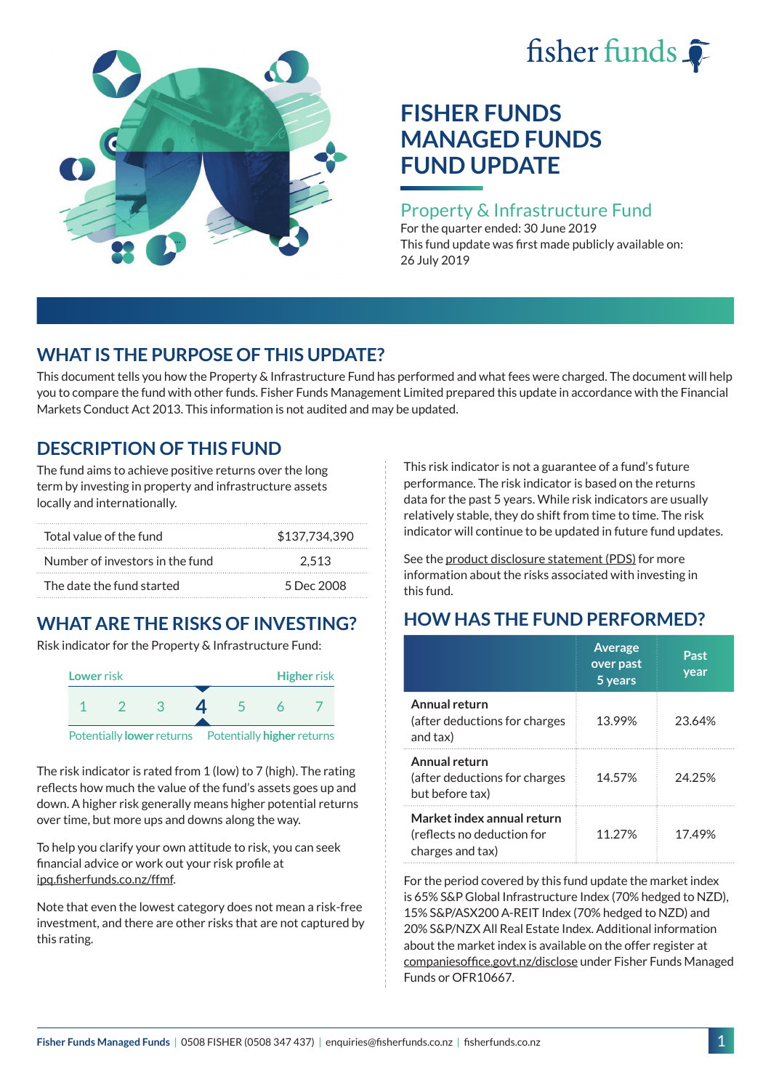# fisher funds  $\hat{\bullet}$



# **FISHER FUNDS MANAGED FUNDS FUND UPDATE**

#### Property & Infrastructure Fund

For the quarter ended: 30 June 2019 This fund update was first made publicly available on: 26 July 2019

## **WHAT IS THE PURPOSE OF THIS UPDATE?**

This document tells you how the Property & Infrastructure Fund has performed and what fees were charged. The document will help you to compare the fund with other funds. Fisher Funds Management Limited prepared this update in accordance with the Financial Markets Conduct Act 2013. This information is not audited and may be updated.

## **DESCRIPTION OF THIS FUND**

The fund aims to achieve positive returns over the long term by investing in property and infrastructure assets locally and internationally.

| Total value of the fund         | \$137,734,390 |
|---------------------------------|---------------|
| Number of investors in the fund | 2.513         |
| The date the fund started       | 5 Dec 2008    |

## **WHAT ARE THE RISKS OF INVESTING?**

Risk indicator for the Property & Infrastructure Fund:



The risk indicator is rated from 1 (low) to 7 (high). The rating reflects how much the value of the fund's assets goes up and down. A higher risk generally means higher potential returns over time, but more ups and downs along the way.

To help you clarify your own attitude to risk, you can seek financial advice or work out your risk profile at [ipq.fisherfunds.co.nz/ffmf](https://ipq.fisherfunds.co.nz/ffmf).

Note that even the lowest category does not mean a risk-free investment, and there are other risks that are not captured by this rating.

This risk indicator is not a guarantee of a fund's future performance. The risk indicator is based on the returns data for the past 5 years. While risk indicators are usually relatively stable, they do shift from time to time. The risk indicator will continue to be updated in future fund updates.

See the [product disclosure statement \(PDS\)](https://fisherfunds.co.nz/assets/PDS/Fisher-Funds-Managed-Funds-PDS.pdf) for more information about the risks associated with investing in this fund.

# **HOW HAS THE FUND PERFORMED?**

|                                                                              | <b>Average</b><br>over past<br>5 years | Past<br>year |
|------------------------------------------------------------------------------|----------------------------------------|--------------|
| Annual return<br>(after deductions for charges<br>and tax)                   | 13.99%                                 | 23.64%       |
| Annual return<br>(after deductions for charges<br>but before tax)            | 14.57%                                 | 24.25%       |
| Market index annual return<br>(reflects no deduction for<br>charges and tax) | 11.27%                                 | 17.49%       |

For the period covered by this fund update the market index is 65% S&P Global Infrastructure Index (70% hedged to NZD), 15% S&P/ASX200 A-REIT Index (70% hedged to NZD) and 20% S&P/NZX All Real Estate Index. Additional information about the market index is available on the offer register at [companiesoffice.govt.nz/disclose](http://companiesoffice.govt.nz/disclose) under Fisher Funds Managed Funds or OFR10667.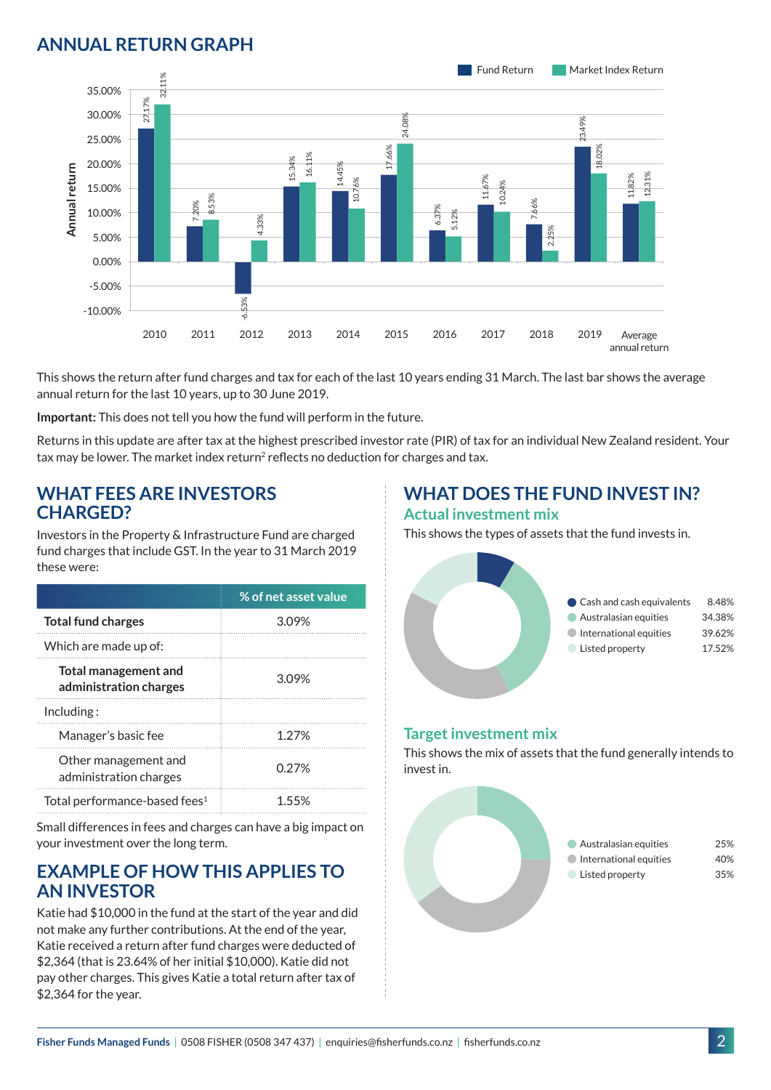## **ANNUAL RETURN GRAPH**



This shows the return after fund charges and tax for each of the last 10 years ending 31 March. The last bar shows the average annual return for the last 10 years, up to 30 June 2019.

**Important:** This does not tell you how the fund will perform in the future.

Returns in this update are after tax at the highest prescribed investor rate (PIR) of tax for an individual New Zealand resident. Your tax may be lower. The market index return<sup>2</sup> reflects no deduction for charges and tax.

#### **WHAT FEES ARE INVESTORS CHARGED?**

Investors in the Property & Infrastructure Fund are charged fund charges that include GST. In the year to 31 March 2019 these were:

|                                                       | % of net asset value |
|-------------------------------------------------------|----------------------|
| <b>Total fund charges</b>                             | 3.09%                |
| Which are made up of:                                 |                      |
| <b>Total management and</b><br>administration charges | 3.09%                |
| Inding:                                               |                      |
| Manager's basic fee                                   | 1 27%                |
| Other management and<br>administration charges        | 0.27%                |
| Total performance-based fees <sup>1</sup>             | 155%                 |

Small differences in fees and charges can have a big impact on your investment over the long term.

#### **EXAMPLE OF HOW THIS APPLIES TO AN INVESTOR**

Katie had \$10,000 in the fund at the start of the year and did not make any further contributions. At the end of the year, Katie received a return after fund charges were deducted of \$2,364 (that is 23.64% of her initial \$10,000). Katie did not pay other charges. This gives Katie a total return after tax of \$2,364 for the year.

# **WHAT DOES THE FUND INVEST IN?**

#### **Actual investment mix**

This shows the types of assets that the fund invests in.



#### **Target investment mix**

This shows the mix of assets that the fund generally intends to invest in.